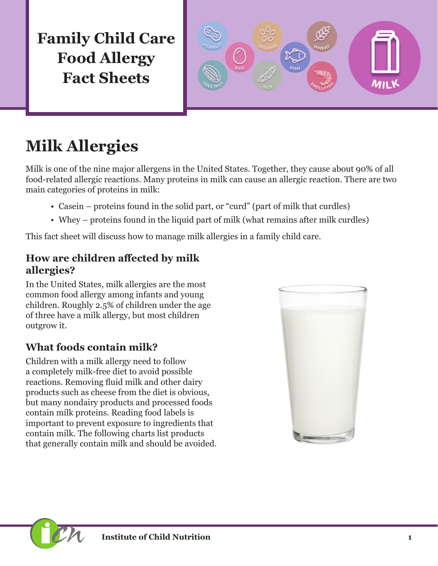**Family Child Care Food Allergy Fact Sheets**



# **Milk Allergies**

Milk is one of the nine major allergens in the United States. Together, they cause about 90% of all food-related allergic reactions. Many proteins in milk can cause an allergic reaction. There are two main categories of proteins in milk:

- Casein proteins found in the solid part, or "curd" (part of milk that curdles)
- Whey proteins found in the liquid part of milk (what remains after milk curdles)

This fact sheet will discuss how to manage milk allergies in a family child care.

#### **How are children affected by milk allergies?**

In the United States, milk allergies are the most common food allergy among infants and young children. Roughly 2.5% of children under the age of three have a milk allergy, but most children outgrow it.

#### **What foods contain milk?**

Children with a milk allergy need to follow a completely milk-free diet to avoid possible reactions. Removing fluid milk and other dairy products such as cheese from the diet is obvious, but many nondairy products and processed foods contain milk proteins. Reading food labels is important to prevent exposure to ingredients that contain milk. The following charts list products that generally contain milk and should be avoided.

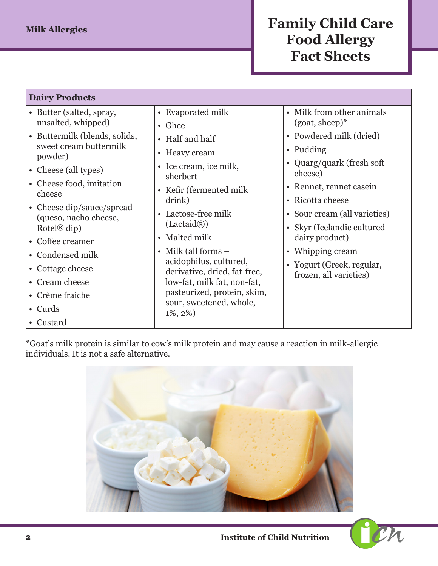### **Family Child Care Food Allergy Fact Sheets**

| <b>Dairy Products</b>                              |                                                            |                                                     |  |  |
|----------------------------------------------------|------------------------------------------------------------|-----------------------------------------------------|--|--|
| • Butter (salted, spray,<br>unsalted, whipped)     | • Evaporated milk                                          | • Milk from other animals<br>$(goat, sheep)*$       |  |  |
| • Buttermilk (blends, solids,                      | • Ghee<br>• Half and half                                  | • Powdered milk (dried)                             |  |  |
| sweet cream buttermilk<br>powder)                  | • Heavy cream                                              | • Pudding                                           |  |  |
| • Cheese (all types)                               | • Ice cream, ice milk,<br>sherbert                         | • Quarg/quark (fresh soft)<br>cheese)               |  |  |
| • Cheese food, imitation<br>cheese                 | • Kefir (fermented milk)                                   | • Rennet, rennet casein                             |  |  |
| • Cheese dip/sauce/spread<br>(queso, nacho cheese, | drink)<br>• Lactose-free milk<br>(Lactaid(R))              | • Ricotta cheese<br>• Sour cream (all varieties)    |  |  |
| Rotel <sup>®</sup> dip)<br>• Coffee creamer        | • Malted milk                                              | • Skyr (Icelandic cultured<br>dairy product)        |  |  |
| • Condensed milk                                   | • Milk (all forms $-$<br>acidophilus, cultured,            | • Whipping cream                                    |  |  |
| • Cottage cheese                                   | derivative, dried, fat-free,                               | • Yogurt (Greek, regular,<br>frozen, all varieties) |  |  |
| • Cream cheese<br>• Crème fraiche                  | low-fat, milk fat, non-fat,<br>pasteurized, protein, skim, |                                                     |  |  |
| • Curds                                            | sour, sweetened, whole,<br>$1\%, 2\%)$                     |                                                     |  |  |
| • Custard                                          |                                                            |                                                     |  |  |

\*Goat's milk protein is similar to cow's milk protein and may cause a reaction in milk-allergic individuals. It is not a safe alternative.



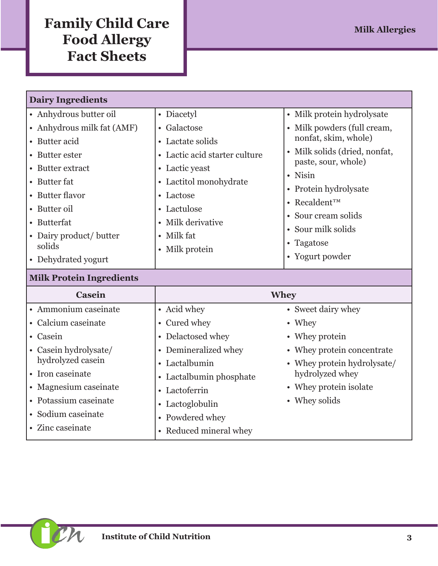## **Family Child Care Milk Allergies Food Allergy Fact Sheets**

| <b>Dairy Ingredients</b>   |                                 |                                                                 |  |
|----------------------------|---------------------------------|-----------------------------------------------------------------|--|
| • Anhydrous butter oil     | • Diacetyl                      | • Milk protein hydrolysate                                      |  |
| • Anhydrous milk fat (AMF) | • Galactose                     | Milk powders (full cream,                                       |  |
| • Butter acid              | • Lactate solids                | nonfat, skim, whole)                                            |  |
| • Butter ester             | • Lactic acid starter culture   | • Milk solids (dried, nonfat,<br>paste, sour, whole)<br>• Nisin |  |
| • Butter extract           | • Lactic yeast                  |                                                                 |  |
| • Butter fat               | • Lactitol monohydrate          |                                                                 |  |
| • Butter flavor            | • Lactose                       | • Protein hydrolysate                                           |  |
| • Butter oil               | • Lactulose                     | • Recaldent <sup>TM</sup>                                       |  |
| • Butterfat                | • Milk derivative<br>• Milk fat | • Sour cream solids                                             |  |
| • Dairy product/ butter    |                                 | • Sour milk solids                                              |  |
| solids                     | Milk protein<br>$\bullet$       | • Tagatose                                                      |  |
| • Dehydrated yogurt        |                                 | • Yogurt powder                                                 |  |

### **Milk Protein Ingredients**

| <b>Casein</b>         |                         | <b>Whey</b>                 |
|-----------------------|-------------------------|-----------------------------|
| • Ammonium caseinate  | • Acid whey             | • Sweet dairy whey          |
| • Calcium caseinate   | • Cured whey            | • Whey                      |
| • Casein              | • Delactosed whey       | • Whey protein              |
| • Casein hydrolysate/ | • Demineralized whey    | • Whey protein concentrate  |
| hydrolyzed casein     | • Lactalbumin           | • Whey protein hydrolysate/ |
| • Iron caseinate      | • Lactalbumin phosphate | hydrolyzed whey             |
| • Magnesium caseinate | • Lactoferrin           | • Whey protein isolate      |
| • Potassium caseinate | • Lactoglobulin         | • Whey solids               |
| · Sodium caseinate    | • Powdered whey         |                             |
| • Zinc caseinate      | • Reduced mineral whey  |                             |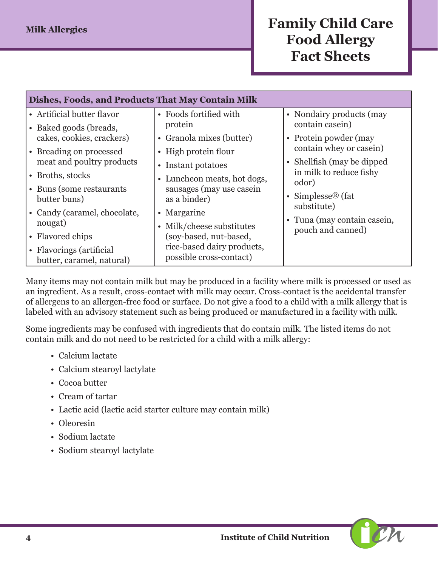### **Family Child Care Food Allergy Fact Sheets**

| Dishes, Foods, and Products That May Contain Milk    |                                          |                                                  |
|------------------------------------------------------|------------------------------------------|--------------------------------------------------|
| • Artificial butter flavor<br>• Baked goods (breads, | • Foods fortified with<br>protein        | • Nondairy products (may<br>contain casein)      |
| cakes, cookies, crackers)                            | • Granola mixes (butter)                 | • Protein powder (may                            |
| • Breading on processed                              | • High protein flour                     | contain whey or casein)                          |
| meat and poultry products                            | • Instant potatoes                       | • Shellfish (may be dipped)                      |
| • Broths, stocks                                     | • Luncheon meats, hot dogs,              | in milk to reduce fishy<br>odor)                 |
| • Buns (some restaurants)<br>butter buns)            | sausages (may use casein<br>as a binder) | • Simplesse <sup>®</sup> (fat<br>substitute)     |
| • Candy (caramel, chocolate,                         | • Margarine                              |                                                  |
| nougat)                                              | • Milk/cheese substitutes                | • Tuna (may contain casein,<br>pouch and canned) |
| • Flavored chips                                     | (soy-based, nut-based,                   |                                                  |
| • Flavorings (artificial                             | rice-based dairy products,               |                                                  |
| butter, caramel, natural)                            | possible cross-contact)                  |                                                  |

Many items may not contain milk but may be produced in a facility where milk is processed or used as an ingredient. As a result, cross-contact with milk may occur. Cross-contact is the accidental transfer of allergens to an allergen-free food or surface. Do not give a food to a child with a milk allergy that is labeled with an advisory statement such as being produced or manufactured in a facility with milk.

Some ingredients may be confused with ingredients that do contain milk. The listed items do not contain milk and do not need to be restricted for a child with a milk allergy:

- Calcium lactate
- Calcium stearoyl lactylate
- Cocoa butter
- Cream of tartar
- Lactic acid (lactic acid starter culture may contain milk)
- Oleoresin
- Sodium lactate
- Sodium stearoyl lactylate

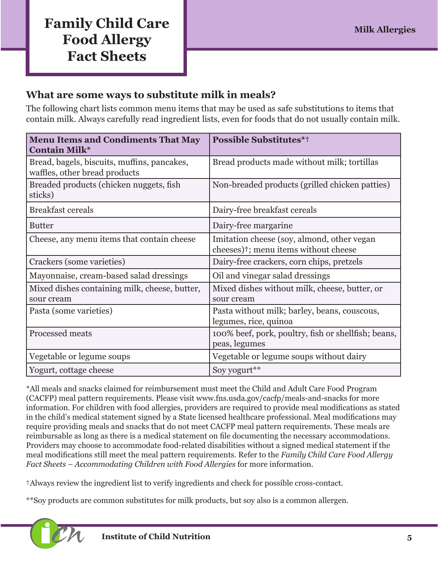### **Family Child Care Milk Allergies Milk Allergies Food Allergy Fact Sheets**

#### **What are some ways to substitute milk in meals?**

The following chart lists common menu items that may be used as safe substitutions to items that contain milk. Always carefully read ingredient lists, even for foods that do not usually contain milk.

| <b>Menu Items and Condiments That May</b><br><b>Contain Milk*</b>            | <b>Possible Substitutes*†</b>                                                                   |
|------------------------------------------------------------------------------|-------------------------------------------------------------------------------------------------|
| Bread, bagels, biscuits, muffins, pancakes,<br>waffles, other bread products | Bread products made without milk; tortillas                                                     |
| Breaded products (chicken nuggets, fish<br>sticks)                           | Non-breaded products (grilled chicken patties)                                                  |
| <b>Breakfast cereals</b>                                                     | Dairy-free breakfast cereals                                                                    |
| <b>Butter</b>                                                                | Dairy-free margarine                                                                            |
| Cheese, any menu items that contain cheese                                   | Imitation cheese (soy, almond, other vegan<br>cheeses) <sup>†</sup> ; menu items without cheese |
| Crackers (some varieties)                                                    | Dairy-free crackers, corn chips, pretzels                                                       |
| Mayonnaise, cream-based salad dressings                                      | Oil and vinegar salad dressings                                                                 |
| Mixed dishes containing milk, cheese, butter,<br>sour cream                  | Mixed dishes without milk, cheese, butter, or<br>sour cream                                     |
| Pasta (some varieties)                                                       | Pasta without milk; barley, beans, couscous,<br>legumes, rice, quinoa                           |
| Processed meats                                                              | 100% beef, pork, poultry, fish or shellfish; beans,<br>peas, legumes                            |
| Vegetable or legume soups                                                    | Vegetable or legume soups without dairy                                                         |
| Yogurt, cottage cheese                                                       | Soy yogurt**                                                                                    |

\*All meals and snacks claimed for reimbursement must meet the Child and Adult Care Food Program (CACFP) meal pattern requirements. Please visit [www.fns.usda.gov/cacfp/meals-and-snacks](http://www.fns.usda.gov/cacfp/meals-and-snacks) for more information. For children with food allergies, providers are required to provide meal modifications as stated in the child's medical statement signed by a State licensed healthcare professional. Meal modifications may require providing meals and snacks that do not meet CACFP meal pattern requirements. These meals are reimbursable as long as there is a medical statement on file documenting the necessary accommodations. Providers may choose to accommodate food-related disabilities without a signed medical statement if the meal modifications still meet the meal pattern requirements. Refer to the *Family Child Care Food Allergy Fact Sheets – Accommodating Children with Food Allergies* for more information.

†Always review the ingredient list to verify ingredients and check for possible cross-contact.

\*\*Soy products are common substitutes for milk products, but soy also is a common allergen.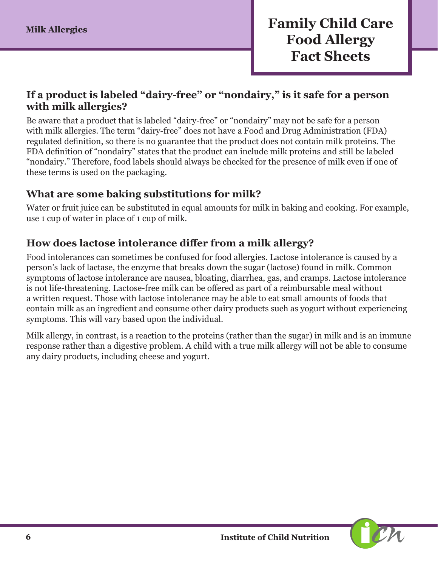#### **If a product is labeled "dairy-free" or "nondairy," is it safe for a person with milk allergies?**

Be aware that a product that is labeled "dairy-free" or "nondairy" may not be safe for a person with milk allergies. The term "dairy-free" does not have a Food and Drug Administration (FDA) regulated definition, so there is no guarantee that the product does not contain milk proteins. The FDA definition of "nondairy" states that the product can include milk proteins and still be labeled "nondairy." Therefore, food labels should always be checked for the presence of milk even if one of these terms is used on the packaging.

#### **What are some baking substitutions for milk?**

Water or fruit juice can be substituted in equal amounts for milk in baking and cooking. For example, use 1 cup of water in place of 1 cup of milk.

#### **How does lactose intolerance differ from a milk allergy?**

Food intolerances can sometimes be confused for food allergies. Lactose intolerance is caused by a person's lack of lactase, the enzyme that breaks down the sugar (lactose) found in milk. Common symptoms of lactose intolerance are nausea, bloating, diarrhea, gas, and cramps. Lactose intolerance is not life-threatening. Lactose-free milk can be offered as part of a reimbursable meal without a written request. Those with lactose intolerance may be able to eat small amounts of foods that contain milk as an ingredient and consume other dairy products such as yogurt without experiencing symptoms. This will vary based upon the individual.

Milk allergy, in contrast, is a reaction to the proteins (rather than the sugar) in milk and is an immune response rather than a digestive problem. A child with a true milk allergy will not be able to consume any dairy products, including cheese and yogurt.

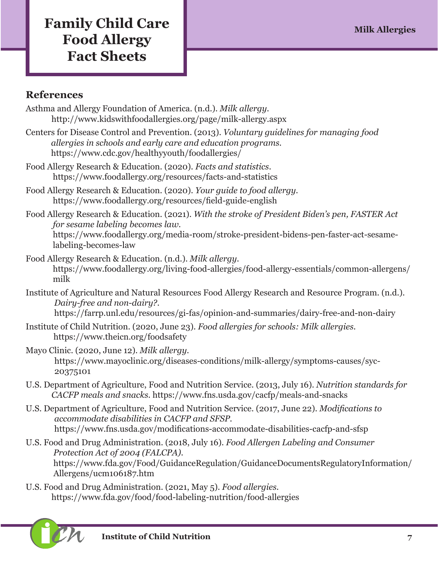## **Family Child Care Milk Allergies Milk Allergies Food Allergy Fact Sheets**

#### **References**

- Asthma and Allergy Foundation of America. (n.d.). *Milk allergy.*  <http://www.kidswithfoodallergies.org/page/milk-allergy.aspx>
- Centers for Disease Control and Prevention. (2013). *Voluntary guidelines for managing food allergies in schools and early care and education programs.* <https://www.cdc.gov/healthyyouth/foodallergies/>
- Food Allergy Research & Education. (2020). *Facts and statistics*. <https://www.foodallergy.org/resources/facts-and-statistics>
- Food Allergy Research & Education. (2020). *Your guide to food allergy.*  <https://www.foodallergy.org/resources/field-guide-english>
- Food Allergy Research & Education. (2021). *With the stroke of President Biden's pen, FASTER Act for sesame labeling becomes law.*

[https://www.foodallergy.org/media-room/stroke-president-bidens-pen-faster-act-sesame](https://www.foodallergy.org/media-room/stroke-president-bidens-pen-faster-act-sesame-labeling-becomes-law)[labeling-becomes-law](https://www.foodallergy.org/media-room/stroke-president-bidens-pen-faster-act-sesame-labeling-becomes-law)

- Food Allergy Research & Education. (n.d.). *Milk allergy.* [https://www.foodallergy.org/living-food-allergies/food-allergy-essentials/common-allergens/](https://www.foodallergy.org/living-food-allergies/food-allergy-essentials/common-allergens/milk) [milk](https://www.foodallergy.org/living-food-allergies/food-allergy-essentials/common-allergens/milk)
- Institute of Agriculture and Natural Resources Food Allergy Research and Resource Program. (n.d.). *Dairy-free and non-dairy?*. [https://farrp.unl.edu/resources/gi-fas/opinion-and-summaries/dairy-free-and-non-dairy](https://farrp.unl.edu/resources/gi-fas/opinion-and-summaries/dairy-free-and-non-dairy
)
- Institute of Child Nutrition. (2020, June 23). *Food allergies for schools: Milk allergies.*
	- <https://www.theicn.org/foodsafety>
- Mayo Clinic. (2020, June 12). *Milk allergy.* [https://www.mayoclinic.org/diseases-conditions/milk-allergy/symptoms-causes/syc-](https://www.mayoclinic.org/diseases-conditions/milk-allergy/symptoms-causes/syc-20375101)[20375101](https://www.mayoclinic.org/diseases-conditions/milk-allergy/symptoms-causes/syc-20375101)
- U.S. Department of Agriculture, Food and Nutrition Service. (2013, July 16). *Nutrition standards for CACFP meals and snacks.* <https://www.fns.usda.gov/cacfp/meals-and-snacks>
- U.S. Department of Agriculture, Food and Nutrition Service. (2017, June 22). *Modifications to accommodate disabilities in CACFP and SFSP.*  <https://www.fns.usda.gov/modifications-accommodate-disabilities-cacfp-and-sfsp>
- U.S. Food and Drug Administration. (2018, July 16). *Food Allergen Labeling and Consumer Protection Act of 2004 (FALCPA)*. [https://www.fda.gov/Food/GuidanceRegulation/GuidanceDocumentsRegulatoryInformation/](https://www.fda.gov/Food/GuidanceRegulation/GuidanceDocumentsRegulatoryInformation/Allergens/ucm1061) [Allergens/ucm106187.htm](https://www.fda.gov/Food/GuidanceRegulation/GuidanceDocumentsRegulatoryInformation/Allergens/ucm1061)
- U.S. Food and Drug Administration. (2021, May 5). *Food allergies.*  <https://www.fda.gov/food/food-labeling-nutrition/food-allergies>